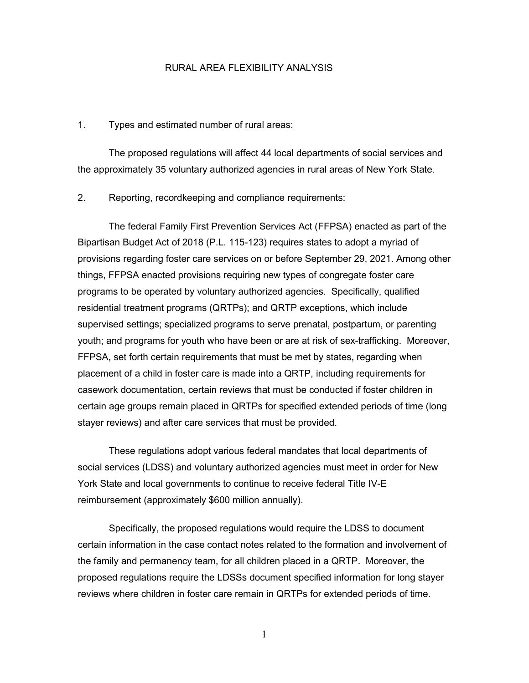## RURAL AREA FLEXIBILITY ANALYSIS

## 1. Types and estimated number of rural areas:

The proposed regulations will affect 44 local departments of social services and the approximately 35 voluntary authorized agencies in rural areas of New York State.

2. Reporting, recordkeeping and compliance requirements:

The federal Family First Prevention Services Act (FFPSA) enacted as part of the Bipartisan Budget Act of 2018 (P.L. 115-123) requires states to adopt a myriad of provisions regarding foster care services on or before September 29, 2021. Among other things, FFPSA enacted provisions requiring new types of congregate foster care programs to be operated by voluntary authorized agencies. Specifically, qualified residential treatment programs (QRTPs); and QRTP exceptions, which include supervised settings; specialized programs to serve prenatal, postpartum, or parenting youth; and programs for youth who have been or are at risk of sex-trafficking. Moreover, FFPSA, set forth certain requirements that must be met by states, regarding when placement of a child in foster care is made into a QRTP, including requirements for casework documentation, certain reviews that must be conducted if foster children in certain age groups remain placed in QRTPs for specified extended periods of time (long stayer reviews) and after care services that must be provided.

These regulations adopt various federal mandates that local departments of social services (LDSS) and voluntary authorized agencies must meet in order for New York State and local governments to continue to receive federal Title IV-E reimbursement (approximately \$600 million annually).

Specifically, the proposed regulations would require the LDSS to document certain information in the case contact notes related to the formation and involvement of the family and permanency team, for all children placed in a QRTP. Moreover, the proposed regulations require the LDSSs document specified information for long stayer reviews where children in foster care remain in QRTPs for extended periods of time.

1